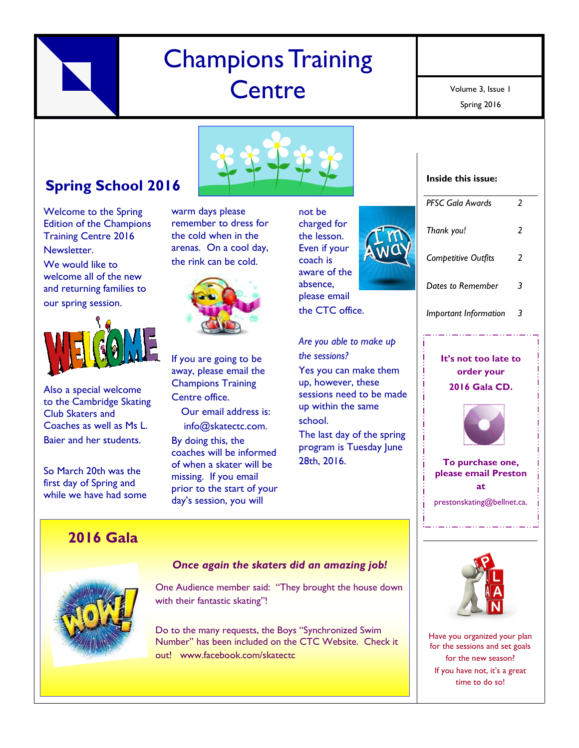# Champions Training **Centre**

Spring 2016 Volume 3, Issue 1

## **Spring School 2016**

Welcome to the Spring Edition of the Champions Training Centre 2016 Newsletter.

We would like to welcome all of the new and returning families to our spring session.



Also a special welcome to the Cambridge Skating Club Skaters and Coaches as well as Ms L. Baier and her students.

So March 20th was the first day of Spring and while we have had some

### **2016 Gala**



warm days please remember to dress for the cold when in the arenas. On a cool day, the rink can be cold.



If you are going to be away, please email the Champions Training Centre office.

Our email address is: info@skatectc.com.

By doing this, the coaches will be informed of when a skater will be missing. If you email prior to the start of your day's session, you will

not be charged for the lesson. Even if your coach is aware of the absence, please email the CTC office.

*Are you able to make up the sessions?* Yes you can make them up, however, these sessions need to be made up within the same school. The last day of the spring

program is Tuesday June 28th, 2016.





**It's not too late to order your 2016 Gala CD.**



**To purchase one, please email Preston at** prestonskating@bellnet.ca.



### *Once again the skaters did an amazing job!*

One Audience member said: "They brought the house down with their fantastic skating"!

Do to the many requests, the Boys "Synchronized Swim Number" has been included on the CTC Website. Check it out! www.facebook.com/skatectc



Have you organized your plan for the sessions and set goals for the new season? If you have not, it's a great time to do so!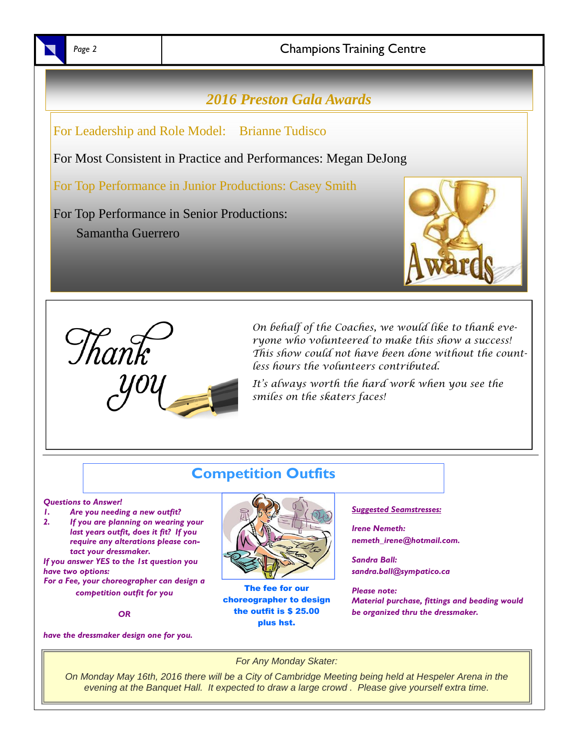

### Page 2 and **2** Champions Training Centre

### *2016 Preston Gala Awards*

For Leadership and Role Model: Brianne Tudisco

For Most Consistent in Practice and Performances: Megan DeJong

For Top Performance in Junior Productions: Casey Smith

For Top Performance in Senior Productions: Samantha Guerrero





On behalf of the Coaches, we would like to thank everyone who volunteered to make this show a success! This show could not have been done without the countless hours the volunteers contributed.

It's always worth the hard work when you see the smiles on the skaters faces!

### **Competition Outfits**

#### *Questions to Answer!*

- *1. Are you needing a new outfit?*
- *2. If you are planning on wearing your last years outfit, does it fit? If you require any alterations please contact your dressmaker.*

*If you answer YES to the 1st question you have two options: For a Fee, your choreographer can design a*

*competition outfit for you*

*OR*

*have the dressmaker design one for you.*



The fee for our choreographer to design the outfit is \$ 25.00 plus hst.

### *Suggested Seamstresses:*

*Irene Nemeth: nemeth\_irene@hotmail.com.*

*Sandra Ball: sandra.ball@sympatico.ca*

*Please note: Material purchase, fittings and beading would be organized thru the dressmaker.*

*For Any Monday Skater:*

*On Monday May 16th, 2016 there will be a City of Cambridge Meeting being held at Hespeler Arena in the evening at the Banquet Hall. It expected to draw a large crowd . Please give yourself extra time.*